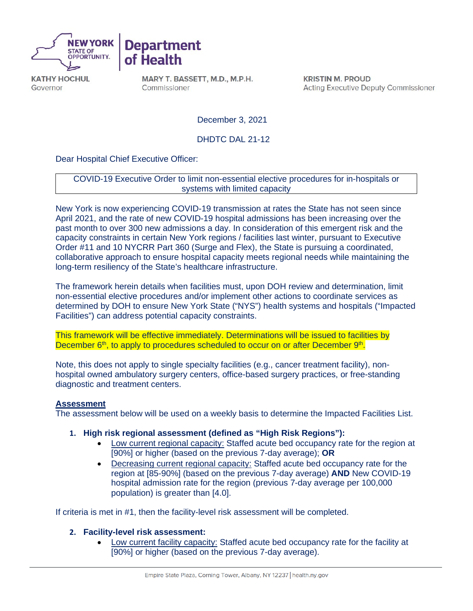



**KATHY HOCHUL** Governor

MARY T. BASSETT, M.D., M.P.H. Commissioner

**KRISTIN M. PROUD Acting Executive Deputy Commissioner** 

December 3, 2021

DHDTC DAL 21-12

Dear Hospital Chief Executive Officer:

COVID-19 Executive Order to limit non-essential elective procedures for in-hospitals or systems with limited capacity

New York is now experiencing COVID-19 transmission at rates the State has not seen since April 2021, and the rate of new COVID-19 hospital admissions has been increasing over the past month to over 300 new admissions a day. In consideration of this emergent risk and the capacity constraints in certain New York regions / facilities last winter, pursuant to Executive Order #11 and 10 NYCRR Part 360 (Surge and Flex), the State is pursuing a coordinated, collaborative approach to ensure hospital capacity meets regional needs while maintaining the long-term resiliency of the State's healthcare infrastructure.

The framework herein details when facilities must, upon DOH review and determination, limit non-essential elective procedures and/or implement other actions to coordinate services as determined by DOH to ensure New York State ("NYS") health systems and hospitals ("Impacted Facilities") can address potential capacity constraints.

This framework will be effective immediately. Determinations will be issued to facilities by December 6<sup>th</sup>, to apply to procedures scheduled to occur on or after December 9<sup>th</sup>.

Note, this does not apply to single specialty facilities (e.g., cancer treatment facility), nonhospital owned ambulatory surgery centers, office-based surgery practices, or free-standing diagnostic and treatment centers.

## **Assessment**

The assessment below will be used on a weekly basis to determine the Impacted Facilities List.

- **1. High risk regional assessment (defined as "High Risk Regions"):** 
	- Low current regional capacity: Staffed acute bed occupancy rate for the region at [90%] or higher (based on the previous 7-day average); **OR**
	- Decreasing current regional capacity: Staffed acute bed occupancy rate for the region at [85-90%] (based on the previous 7-day average) **AND** New COVID-19 hospital admission rate for the region (previous 7-day average per 100,000 population) is greater than [4.0].

If criteria is met in #1, then the facility-level risk assessment will be completed.

## **2. Facility-level risk assessment:**

• Low current facility capacity: Staffed acute bed occupancy rate for the facility at [90%] or higher (based on the previous 7-day average).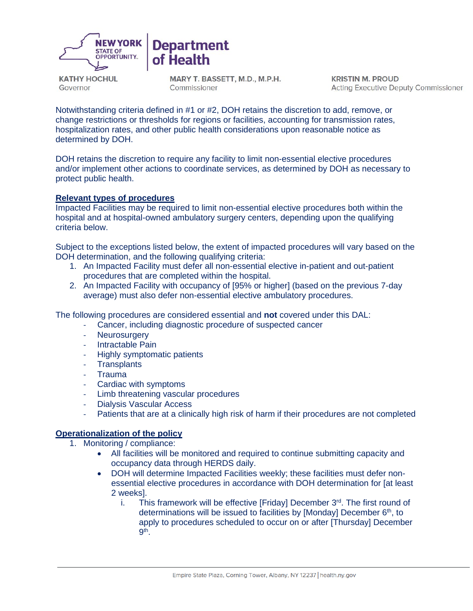

**KATHY HOCHUL** Governor

MARY T. BASSETT, M.D., M.P.H. Commissioner

**KRISTIN M. PROUD Acting Executive Deputy Commissioner** 

Notwithstanding criteria defined in #1 or #2, DOH retains the discretion to add, remove, or change restrictions or thresholds for regions or facilities, accounting for transmission rates, hospitalization rates, and other public health considerations upon reasonable notice as determined by DOH.

DOH retains the discretion to require any facility to limit non-essential elective procedures and/or implement other actions to coordinate services, as determined by DOH as necessary to protect public health.

## **Relevant types of procedures**

Impacted Facilities may be required to limit non-essential elective procedures both within the hospital and at hospital-owned ambulatory surgery centers, depending upon the qualifying criteria below.

Subject to the exceptions listed below, the extent of impacted procedures will vary based on the DOH determination, and the following qualifying criteria:

- 1. An Impacted Facility must defer all non-essential elective in-patient and out-patient procedures that are completed within the hospital.
- 2. An Impacted Facility with occupancy of [95% or higher] (based on the previous 7-day average) must also defer non-essential elective ambulatory procedures.

The following procedures are considered essential and **not** covered under this DAL:

- Cancer, including diagnostic procedure of suspected cancer
- Neurosurgery
- Intractable Pain
- Highly symptomatic patients
- **Transplants**
- **Trauma**
- Cardiac with symptoms
- Limb threatening vascular procedures
- Dialysis Vascular Access
- Patients that are at a clinically high risk of harm if their procedures are not completed

## **Operationalization of the policy**

- 1. Monitoring / compliance:
	- All facilities will be monitored and required to continue submitting capacity and occupancy data through HERDS daily.
	- DOH will determine Impacted Facilities weekly; these facilities must defer nonessential elective procedures in accordance with DOH determination for [at least 2 weeks].
		- i. This framework will be effective  $[Friday]$  December  $3<sup>rd</sup>$ . The first round of determinations will be issued to facilities by [Monday] December  $6<sup>th</sup>$ , to apply to procedures scheduled to occur on or after [Thursday] December 9th.